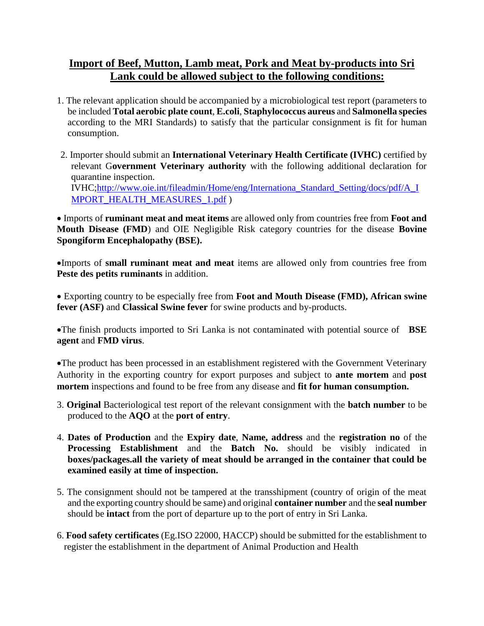## **Import of Beef, Mutton, Lamb meat, Pork and Meat by-products into Sri Lank could be allowed subject to the following conditions:**

- 1. The relevant application should be accompanied by a microbiological test report (parameters to be included **Total aerobic plate count**, **E.coli**, **Staphylococcus aureus** and **Salmonella species** according to the MRI Standards) to satisfy that the particular consignment is fit for human consumption.
- 2. Importer should submit an **International Veterinary Health Certificate (IVHC)** certified by relevant G**overnment Veterinary authority** with the following additional declaration for quarantine inspection. IVHC[;http://www.oie.int/fileadmin/Home/eng/Internationa\\_Standard\\_Setting/docs/pdf/A\\_I](http://www.oie.int/fileadmin/Home/eng/Internationa_Standard_Setting/docs/pdf/A_IMPORT_HEALTH_MEASURES_1.pdf) [MPORT\\_HEALTH\\_MEASURES\\_1.pdf](http://www.oie.int/fileadmin/Home/eng/Internationa_Standard_Setting/docs/pdf/A_IMPORT_HEALTH_MEASURES_1.pdf) )

 Imports of **ruminant meat and meat items** are allowed only from countries free from **Foot and Mouth Disease (FMD**) and OIE Negligible Risk category countries for the disease **Bovine Spongiform Encephalopathy (BSE).**

Imports of **small ruminant meat and meat** items are allowed only from countries free from **Peste des petits ruminants** in addition.

 Exporting country to be especially free from **Foot and Mouth Disease (FMD), African swine fever (ASF)** and **Classical Swine fever** for swine products and by-products.

The finish products imported to Sri Lanka is not contaminated with potential source of **BSE agent** and **FMD virus**.

The product has been processed in an establishment registered with the Government Veterinary Authority in the exporting country for export purposes and subject to **ante mortem** and **post mortem** inspections and found to be free from any disease and **fit for human consumption.**

- 3. **Original** Bacteriological test report of the relevant consignment with the **batch number** to be produced to the **AQO** at the **port of entry**.
- 4. **Dates of Production** and the **Expiry date**, **Name, address** and the **registration no** of the **Processing Establishment** and the **Batch No.** should be visibly indicated in **boxes/packages.all the variety of meat should be arranged in the container that could be examined easily at time of inspection.**
- 5. The consignment should not be tampered at the transshipment (country of origin of the meat and the exporting country should be same) and original **container number** and the **seal number** should be **intact** from the port of departure up to the port of entry in Sri Lanka.
- 6. **Food safety certificates** (Eg.ISO 22000, HACCP) should be submitted for the establishment to register the establishment in the department of Animal Production and Health